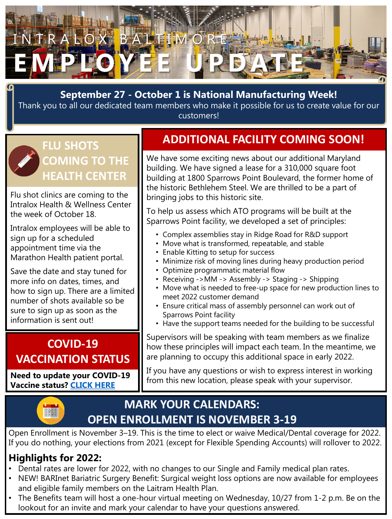

### **September 27 - October 1 is National Manufacturing Week! September 27 - October 1 is National Manufacturing Week!**

Thank you to all our dedicated team members who make it possible for us to create value for our Thank you to all our dedicated team members who make it possible for us to create value for our customers! customers!

### **FLU SHOTS COMING TO THE HEALTH CENTER**

Flu shot clinics are coming to the Intralox Health & Wellness Center the week of October 18.

Intralox employees will be able to sign up for a scheduled appointment time via the Marathon Health patient portal.

Save the date and stay tuned for more info on dates, times, and how to sign up. There are a limited number of shots available so be sure to sign up as soon as the information is sent out!

### **COVID-19 VACCINATION STATUS**

**Need to update your COVID-19 Vaccine status? [CLICK HERE](https://laitram.avature.net/VaccineStatus?tags=vaccinestatus)**

# **ADDITIONAL FACILITY COMING SOON!**

We have some exciting news about our additional Maryland building. We have signed a lease for a 310,000 square foot building at 1800 Sparrows Point Boulevard, the former home of the historic Bethlehem Steel. We are thrilled to be a part of bringing jobs to this historic site.

To help us assess which ATO programs will be built at the Sparrows Point facility, we developed a set of principles:

- Complex assemblies stay in Ridge Road for R&D support
- Move what is transformed, repeatable, and stable
- Enable Kitting to setup for success
- Minimize risk of moving lines during heavy production period
- Optimize programmatic material flow
- Receiving ->MM -> Assembly -> Staging -> Shipping
- Move what is needed to free-up space for new production lines to meet 2022 customer demand
- Ensure critical mass of assembly personnel can work out of Sparrows Point facility
- Have the support teams needed for the building to be successful

Supervisors will be speaking with team members as we finalize how these principles will impact each team. In the meantime, we are planning to occupy this additional space in early 2022.

If you have any questions or wish to express interest in working from this new location, please speak with your supervisor.

## **MARK YOUR CALENDARS: OPEN ENROLLMENT IS NOVEMBER 3-19**

Open Enrollment is November 3–19. This is the time to elect or waive Medical/Dental coverage for 2022. If you do nothing, your elections from 2021 (except for Flexible Spending Accounts) will rollover to 2022.

### **Highlights for 2022:**

- Dental rates are lower for 2022, with no changes to our Single and Family medical plan rates.
- NEW! BARInet Bariatric Surgery Benefit: Surgical weight loss options are now available for employees and eligible family members on the Laitram Health Plan.
- The Benefits team will host a one-hour virtual meeting on Wednesday, 10/27 from 1-2 p.m. Be on the lookout for an invite and mark your calendar to have your questions answered.